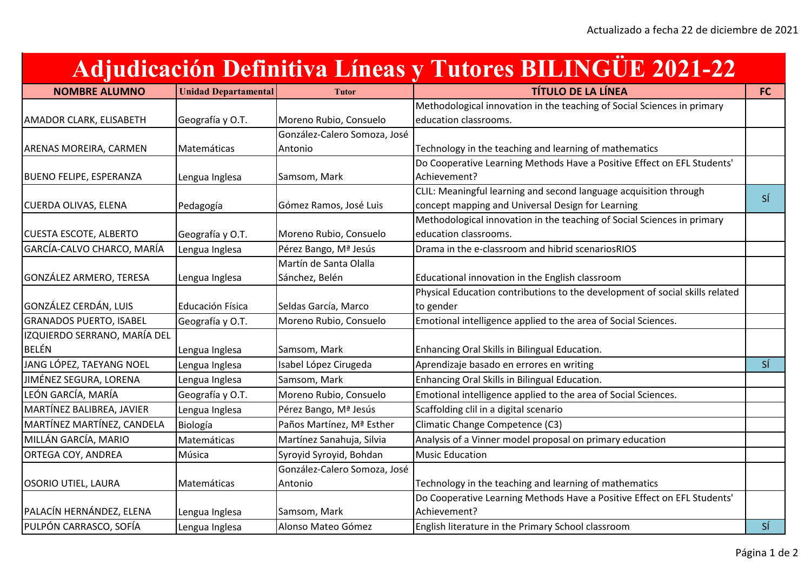## **Adjudicación Definitiva Líneas y Tutores BILINGÜE 2021-22**

| <b>NOMBRE ALUMNO</b>           | <b>Unidad Departamental</b> | <b>Tutor</b>                 | <b>TÍTULO DE LA LÍNEA</b>                                                    | <b>FC</b>      |
|--------------------------------|-----------------------------|------------------------------|------------------------------------------------------------------------------|----------------|
|                                |                             |                              | Methodological innovation in the teaching of Social Sciences in primary      |                |
| <b>AMADOR CLARK, ELISABETH</b> | Geografía y O.T.            | Moreno Rubio, Consuelo       | education classrooms.                                                        |                |
|                                |                             | González-Calero Somoza, José |                                                                              |                |
| ARENAS MOREIRA, CARMEN         | Matemáticas                 | Antonio                      | Technology in the teaching and learning of mathematics                       |                |
|                                |                             |                              | Do Cooperative Learning Methods Have a Positive Effect on EFL Students'      |                |
| <b>BUENO FELIPE, ESPERANZA</b> | Lengua Inglesa              | Samsom, Mark                 | Achievement?                                                                 |                |
|                                |                             |                              | CLIL: Meaningful learning and second language acquisition through            | SÍ             |
| <b>CUERDA OLIVAS, ELENA</b>    | Pedagogía                   | Gómez Ramos, José Luis       | concept mapping and Universal Design for Learning                            |                |
|                                |                             |                              | Methodological innovation in the teaching of Social Sciences in primary      |                |
| <b>CUESTA ESCOTE, ALBERTO</b>  | Geografía y O.T.            | Moreno Rubio, Consuelo       | education classrooms.                                                        |                |
| GARCÍA-CALVO CHARCO, MARÍA     | Lengua Inglesa              | Pérez Bango, Mª Jesús        | Drama in the e-classroom and hibrid scenariosRIOS                            |                |
|                                |                             | Martín de Santa Olalla       |                                                                              |                |
| GONZÁLEZ ARMERO, TERESA        | Lengua Inglesa              | Sánchez, Belén               | Educational innovation in the English classroom                              |                |
|                                |                             |                              | Physical Education contributions to the development of social skills related |                |
| GONZÁLEZ CERDÁN, LUIS          | Educación Física            | Seldas García, Marco         | to gender                                                                    |                |
| <b>GRANADOS PUERTO, ISABEL</b> | Geografía y O.T.            | Moreno Rubio, Consuelo       | Emotional intelligence applied to the area of Social Sciences.               |                |
| IZQUIERDO SERRANO, MARÍA DEL   |                             |                              |                                                                              |                |
| BELÉN                          | Lengua Inglesa              | Samsom, Mark                 | Enhancing Oral Skills in Bilingual Education.                                |                |
| JANG LÓPEZ, TAEYANG NOEL       | Lengua Inglesa              | Isabel López Cirugeda        | Aprendizaje basado en errores en writing                                     | S <sub>1</sub> |
| JIMÉNEZ SEGURA, LORENA         | Lengua Inglesa              | Samsom, Mark                 | Enhancing Oral Skills in Bilingual Education.                                |                |
| LEÓN GARCÍA, MARÍA             | Geografía y O.T.            | Moreno Rubio, Consuelo       | Emotional intelligence applied to the area of Social Sciences.               |                |
| MARTÍNEZ BALIBREA, JAVIER      | Lengua Inglesa              | Pérez Bango, Mª Jesús        | Scaffolding clil in a digital scenario                                       |                |
| MARTÍNEZ MARTÍNEZ, CANDELA     | Biología                    | Paños Martínez, Mª Esther    | Climatic Change Competence (C3)                                              |                |
| MILLÁN GARCÍA, MARIO           | Matemáticas                 | Martínez Sanahuja, Silvia    | Analysis of a Vinner model proposal on primary education                     |                |
| <b>ORTEGA COY, ANDREA</b>      | Música                      | Syroyid Syroyid, Bohdan      | <b>Music Education</b>                                                       |                |
|                                |                             | González-Calero Somoza, José |                                                                              |                |
| <b>OSORIO UTIEL, LAURA</b>     | Matemáticas                 | Antonio                      | Technology in the teaching and learning of mathematics                       |                |
|                                |                             |                              | Do Cooperative Learning Methods Have a Positive Effect on EFL Students'      |                |
| PALACÍN HERNÁNDEZ, ELENA       | Lengua Inglesa              | Samsom, Mark                 | Achievement?                                                                 |                |
| PULPÓN CARRASCO, SOFÍA         | Lengua Inglesa              | Alonso Mateo Gómez           | English literature in the Primary School classroom                           | S <sub>1</sub> |